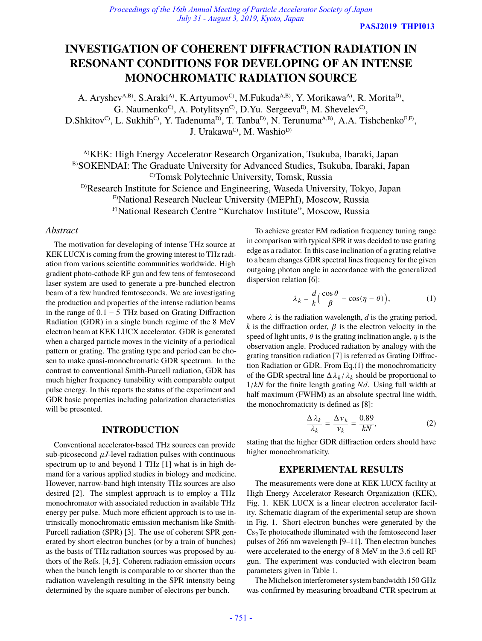**PASJ2019 THPI013**

# **INVESTIGATION OF COHERENT DIFFRACTION RADIATION IN RESONANT CONDITIONS FOR DEVELOPING OF AN INTENSE MONOCHROMATIC RADIATION SOURCE**

A. Aryshev<sup>A,B)</sup>, S.Araki<sup>A)</sup>, K.Artyumov<sup>C)</sup>, M.Fukuda<sup>A,B)</sup>, Y. Morikawa<sup>A)</sup>, R. Morita<sup>D</sup><sup>,</sup> G. Naumenko<sup>C</sup>, A. Potylitsyn<sup>C</sup>, D.Yu. Sergeeva<sup>E)</sup>, M. Shevelev<sup>C</sup>,  $D.Shki to v^C$ , L. Sukhih<sup>C</sup>, Y. Tadenuma<sup>D</sup>, T. Tanba<sup>D</sup>, N. Terunuma<sup>A,B</sup>, A.A. Tishchenko<sup>E,F</sup>, J. Urakawa<sup>C</sup>), M. Washio<sup>D)</sup>

A)KEK: High Energy Accelerator Research Organization, Tsukuba, Ibaraki, Japan B)SOKENDAI: The Graduate University for Advanced Studies, Tsukuba, Ibaraki, Japan C)Tomsk Polytechnic University, Tomsk, Russia <sup>D)</sup>Research Institute for Science and Engineering, Waseda University, Tokyo, Japan E)National Research Nuclear University (MEPhI), Moscow, Russia

F)National Research Centre "Kurchatov Institute", Moscow, Russia

# *Abstract*

The motivation for developing of intense THz source at KEK LUCX is coming from the growing interest to THz radiation from various scientific communities worldwide. High gradient photo-cathode RF gun and few tens of femtosecond laser system are used to generate a pre-bunched electron beam of a few hundred femtoseconds. We are investigating the production and properties of the intense radiation beams in the range of 0.1 − 5 THz based on Grating Diffraction Radiation (GDR) in a single bunch regime of the 8 MeV electron beam at KEK LUCX accelerator. GDR is generated when a charged particle moves in the vicinity of a periodical pattern or grating. The grating type and period can be chosen to make quasi-monochromatic GDR spectrum. In the contrast to conventional Smith-Purcell radiation, GDR has much higher frequency tunability with comparable output pulse energy. In this reports the status of the experiment and GDR basic properties including polarization characteristics will be presented.

#### **INTRODUCTION**

Conventional accelerator-based THz sources can provide sub-picosecond  $\mu$ J-level radiation pulses with continuous spectrum up to and beyond 1 THz [1] what is in high demand for a various applied studies in biology and medicine. However, narrow-band high intensity THz sources are also desired [2]. The simplest approach is to employ a THz monochromator with associated reduction in available THz energy per pulse. Much more efficient approach is to use intrinsically monochromatic emission mechanism like Smith-Purcell radiation (SPR) [3]. The use of coherent SPR generated by short electron bunches (or by a train of bunches) as the basis of THz radiation sources was proposed by authors of the Refs. [4, 5]. Coherent radiation emission occurs when the bunch length is comparable to or shorter than the radiation wavelength resulting in the SPR intensity being determined by the square number of electrons per bunch.

To achieve greater EM radiation frequency tuning range in comparison with typical SPR it was decided to use grating edge as a radiator. In this case inclination of a grating relative to a beam changes GDR spectral lines frequency for the given outgoing photon angle in accordance with the generalized dispersion relation [6]:

$$
\lambda_k = \frac{d}{k} \Big( \frac{\cos \theta}{\beta} - \cos(\eta - \theta) \Big), \tag{1}
$$

where  $\lambda$  is the radiation wavelength,  $d$  is the grating period,  $k$  is the diffraction order,  $\beta$  is the electron velocity in the speed of light units,  $\theta$  is the grating inclination angle,  $\eta$  is the observation angle. Produced radiation by analogy with the grating transition radiation [7] is referred as Grating Diffraction Radiation or GDR. From Eq.(1) the monochromaticity of the GDR spectral line  $\Delta \lambda_k / \lambda_k$  should be proportional to  $1/kN$  for the finite length grating  $Nd$ . Using full width at half maximum (FWHM) as an absolute spectral line width, the monochromaticity is defined as [8]:

$$
\frac{\Delta \lambda_k}{\lambda_k} = \frac{\Delta \nu_k}{\nu_k} = \frac{0.89}{kN},\tag{2}
$$

stating that the higher GDR diffraction orders should have higher monochromaticity.

#### **EXPERIMENTAL RESULTS**

The measurements were done at KEK LUCX facility at High Energy Accelerator Research Organization (KEK), Fig. 1. KEK LUCX is a linear electron accelerator facility. Schematic diagram of the experimental setup are shown in Fig. 1. Short electron bunches were generated by the  $Cs<sub>2</sub>Te$  photocathode illuminated with the femtosecond laser pulses of 266 nm wavelength [9–11]. Then electron bunches were accelerated to the energy of 8 MeV in the 3.6 cell RF gun. The experiment was conducted with electron beam parameters given in Table 1.

The Michelson interferometer system bandwidth 150 GHz was confirmed by measuring broadband CTR spectrum at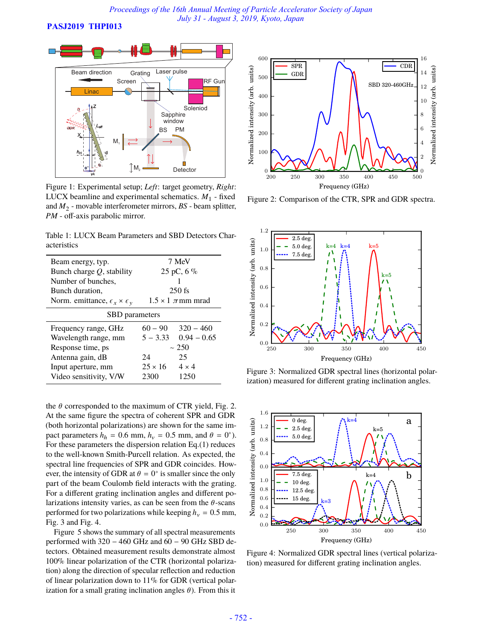**PASJ2019 THPI013**



Figure 1: Experimental setup; *Left*: target geometry, *Right*: LUCX beamline and experimental schematics.  $M_1$  - fixed and  $M_2$  - movable interferometer mirrors,  $BS$  - beam splitter, PM - off-axis parabolic mirror.

Table 1: LUCX Beam Parameters and SBD Detectors Characteristics

| Beam energy, typ.                               | 7 MeV                        |               |
|-------------------------------------------------|------------------------------|---------------|
| Bunch charge $Q$ , stability                    | $25 \,\mathrm{pC}$ , 6 %     |               |
| Number of bunches.                              |                              |               |
| Bunch duration,                                 | $250$ fs                     |               |
| Norm. emittance, $\epsilon_x \times \epsilon_y$ | $1.5 \times 1$ $\pi$ mm mrad |               |
| SBD parameters                                  |                              |               |
| Frequency range, GHz                            | $60 - 90$                    | $320 - 460$   |
| Wavelength range, mm                            | $5 - 3.33$                   | $0.94 - 0.65$ |
| Response time, ps                               | $~1$ 2.50                    |               |
| Antenna gain, dB                                | 24                           | 25            |
| Input aperture, mm                              | $25 \times 16$               | $4 \times 4$  |
| Video sensitivity, V/W                          | 2300                         | 1250          |

the  $\theta$  corresponded to the maximum of CTR yield, Fig. 2. At the same figure the spectra of coherent SPR and GDR (both horizontal polarizations) are shown for the same impact parameters  $h_h = 0.6$  mm,  $h_v = 0.5$  mm, and  $\theta = 0^{\circ}$ ). For these parameters the dispersion relation Eq.(1) reduces to the well-known Smith-Purcell relation. As expected, the spectral line frequencies of SPR and GDR coincides. However, the intensity of GDR at  $\theta = 0^\circ$  is smaller since the only part of the beam Coulomb field interacts with the grating. For a different grating inclination angles and different polarizations intensity varies, as can be seen from the  $\theta$ -scans performed for two polarizations while keeping  $h<sub>v</sub> = 0.5$  mm, Fig. 3 and Fig. 4.

Figure 5 shows the summary of all spectral measurements performed with  $320 - 460$  GHz and  $60 - 90$  GHz SBD detectors. Obtained measurement results demonstrate almost 100% linear polarization of the CTR (horizontal polarization) along the direction of specular reflection and reduction of linear polarization down to 11% for GDR (vertical polarization for a small grating inclination angles  $\theta$ ). From this it



Figure 2: Comparison of the CTR, SPR and GDR spectra.



Figure 3: Normalized GDR spectral lines (horizontal polarization) measured for different grating inclination angles.



Figure 4: Normalized GDR spectral lines (vertical polarization) measured for different grating inclination angles.